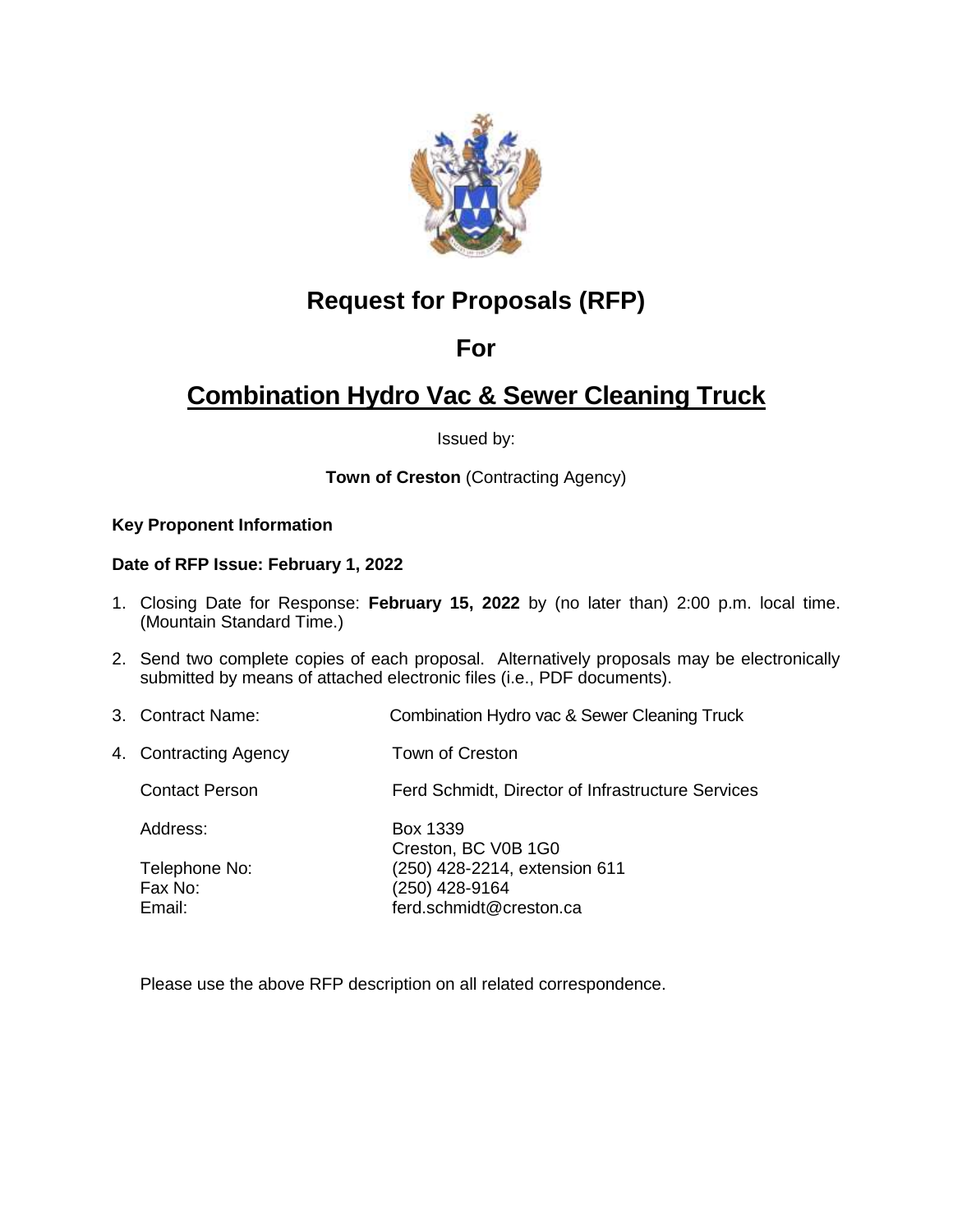

# **Request for Proposals (RFP)**

## **For**

# **Combination Hydro Vac & Sewer Cleaning Truck**

Issued by:

**Town of Creston (Contracting Agency)** 

### **Key Proponent Information**

### **Date of RFP Issue: February 1, 2022**

- 1. Closing Date for Response: **February 15, 2022** by (no later than) 2:00 p.m. local time. (Mountain Standard Time.)
- 2. Send two complete copies of each proposal. Alternatively proposals may be electronically submitted by means of attached electronic files (i.e., PDF documents).
- 3. Contract Name: Combination Hydro vac & Sewer Cleaning Truck
- 4. Contracting Agency Town of Creston
	- Contact Person Ferd Schmidt, Director of Infrastructure Services

| Address:      | Box 1339                      |
|---------------|-------------------------------|
|               | Creston, BC V0B 1G0           |
| Telephone No: | (250) 428-2214, extension 611 |
| Fax No:       | (250) 428-9164                |
| Email:        | ferd.schmidt@creston.ca       |

Please use the above RFP description on all related correspondence.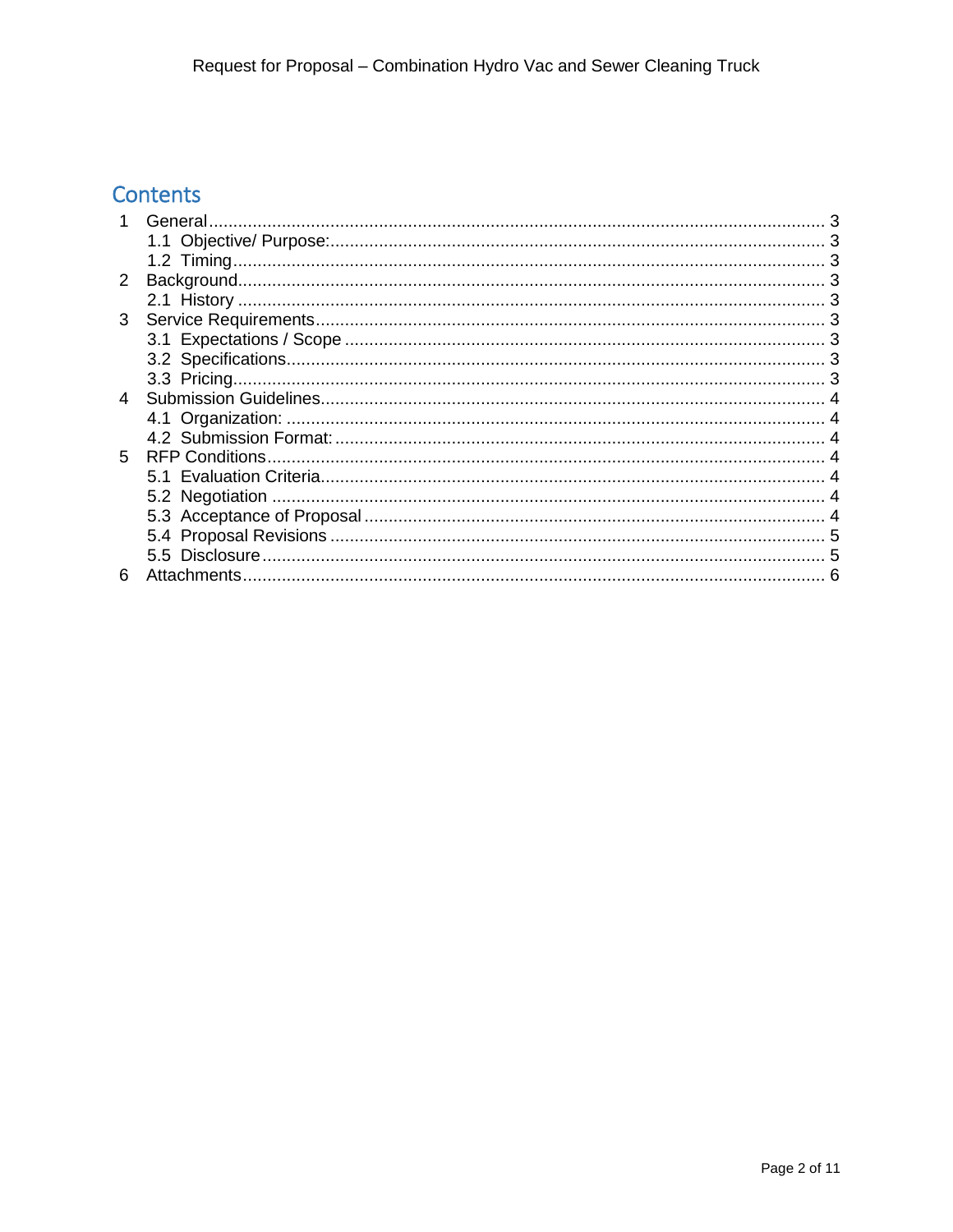# Contents

| $\overline{2}$ |             |  |
|----------------|-------------|--|
|                |             |  |
| 3              |             |  |
|                |             |  |
|                |             |  |
|                |             |  |
| 4              |             |  |
|                |             |  |
|                |             |  |
| 5.             |             |  |
|                |             |  |
|                |             |  |
|                |             |  |
|                |             |  |
|                |             |  |
| 6              | Attachments |  |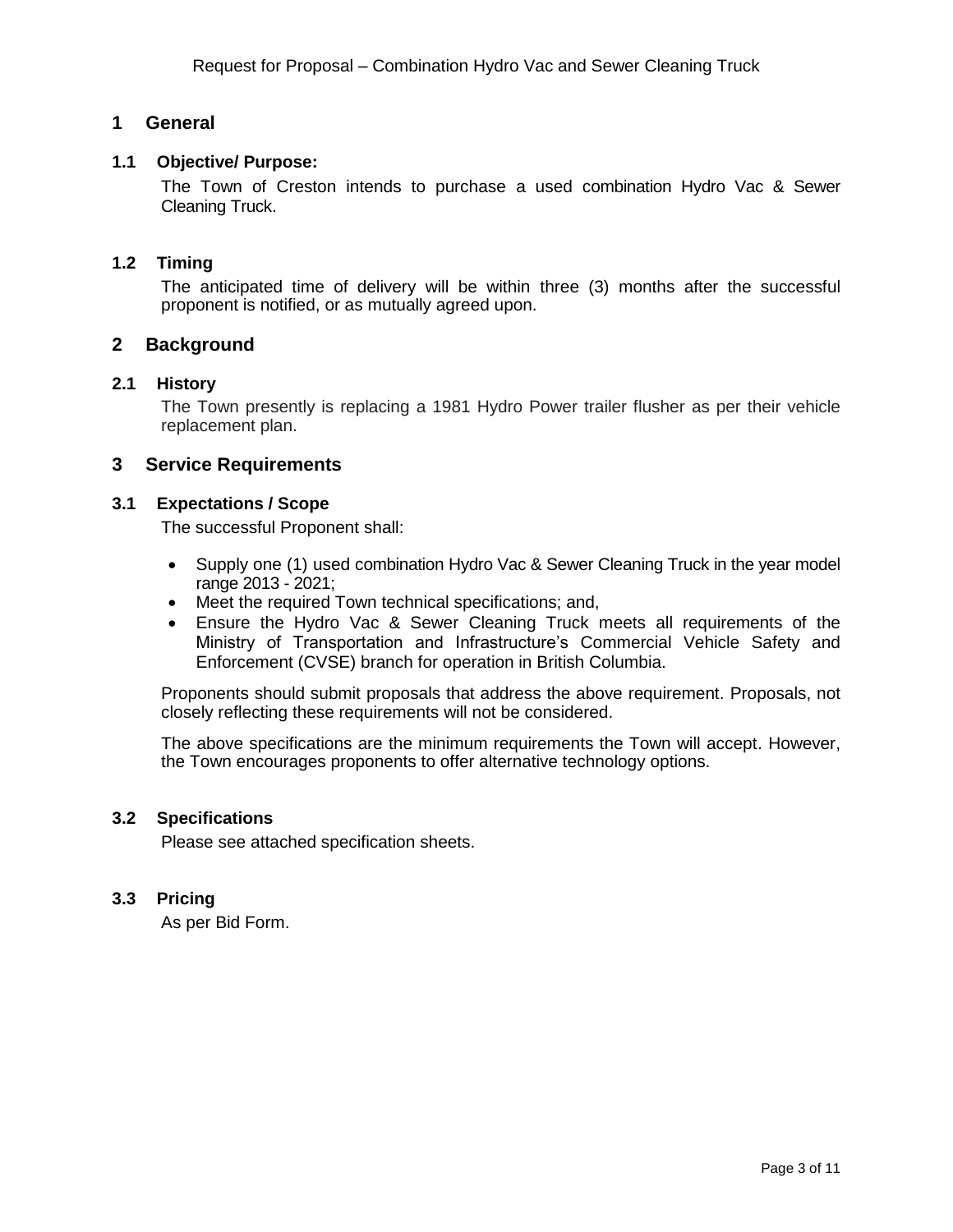## <span id="page-2-0"></span>**1 General**

### <span id="page-2-1"></span>**1.1 Objective/ Purpose:**

The Town of Creston intends to purchase a used combination Hydro Vac & Sewer Cleaning Truck.

#### <span id="page-2-2"></span>**1.2 Timing**

The anticipated time of delivery will be within three (3) months after the successful proponent is notified, or as mutually agreed upon.

#### <span id="page-2-3"></span>**2 Background**

### <span id="page-2-4"></span>**2.1 History**

The Town presently is replacing a 1981 Hydro Power trailer flusher as per their vehicle replacement plan.

#### <span id="page-2-6"></span><span id="page-2-5"></span>**3 Service Requirements**

#### **3.1 Expectations / Scope**

The successful Proponent shall:

- Supply one (1) used combination Hydro Vac & Sewer Cleaning Truck in the year model range 2013 - 2021;
- Meet the required Town technical specifications; and,
- Ensure the Hydro Vac & Sewer Cleaning Truck meets all requirements of the Ministry of Transportation and Infrastructure's Commercial Vehicle Safety and Enforcement (CVSE) branch for operation in British Columbia.

Proponents should submit proposals that address the above requirement. Proposals, not closely reflecting these requirements will not be considered.

The above specifications are the minimum requirements the Town will accept. However, the Town encourages proponents to offer alternative technology options.

#### <span id="page-2-7"></span>**3.2 Specifications**

Please see attached specification sheets.

#### <span id="page-2-8"></span>**3.3 Pricing**

As per Bid Form.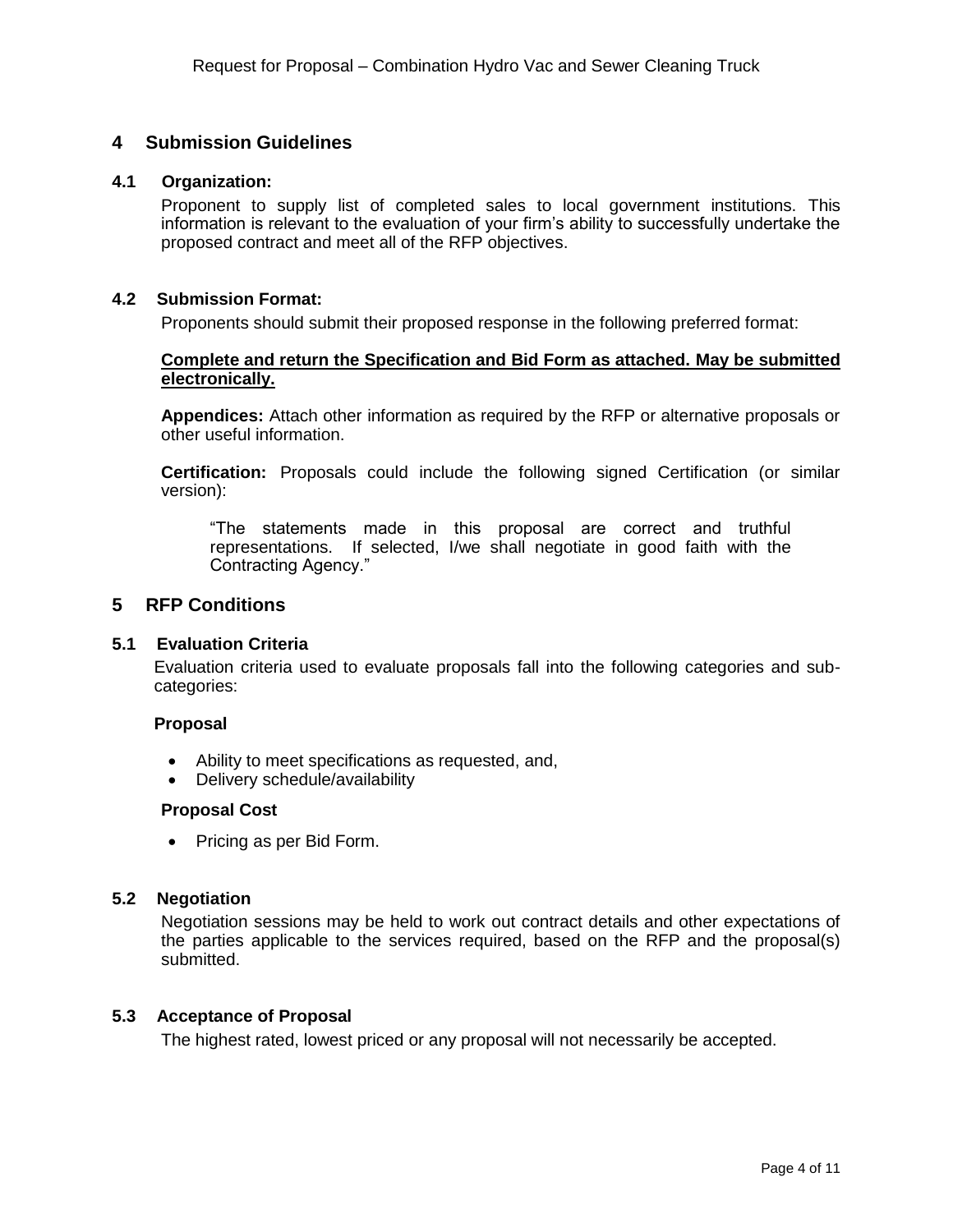### <span id="page-3-0"></span>**4 Submission Guidelines**

#### **4.1 Organization:**

<span id="page-3-1"></span>Proponent to supply list of completed sales to local government institutions. This information is relevant to the evaluation of your firm's ability to successfully undertake the proposed contract and meet all of the RFP objectives.

#### <span id="page-3-2"></span>**4.2 Submission Format:**

Proponents should submit their proposed response in the following preferred format:

#### **Complete and return the Specification and Bid Form as attached. May be submitted electronically.**

**Appendices:** Attach other information as required by the RFP or alternative proposals or other useful information.

**Certification:** Proposals could include the following signed Certification (or similar version):

"The statements made in this proposal are correct and truthful representations. If selected, I/we shall negotiate in good faith with the Contracting Agency."

#### <span id="page-3-4"></span><span id="page-3-3"></span>**5 RFP Conditions**

#### **5.1 Evaluation Criteria**

Evaluation criteria used to evaluate proposals fall into the following categories and subcategories:

#### **Proposal**

- Ability to meet specifications as requested, and,
- Delivery schedule/availability

#### **Proposal Cost**

• Pricing as per Bid Form.

#### <span id="page-3-5"></span>**5.2 Negotiation**

Negotiation sessions may be held to work out contract details and other expectations of the parties applicable to the services required, based on the RFP and the proposal(s) submitted.

#### <span id="page-3-6"></span>**5.3 Acceptance of Proposal**

The highest rated, lowest priced or any proposal will not necessarily be accepted.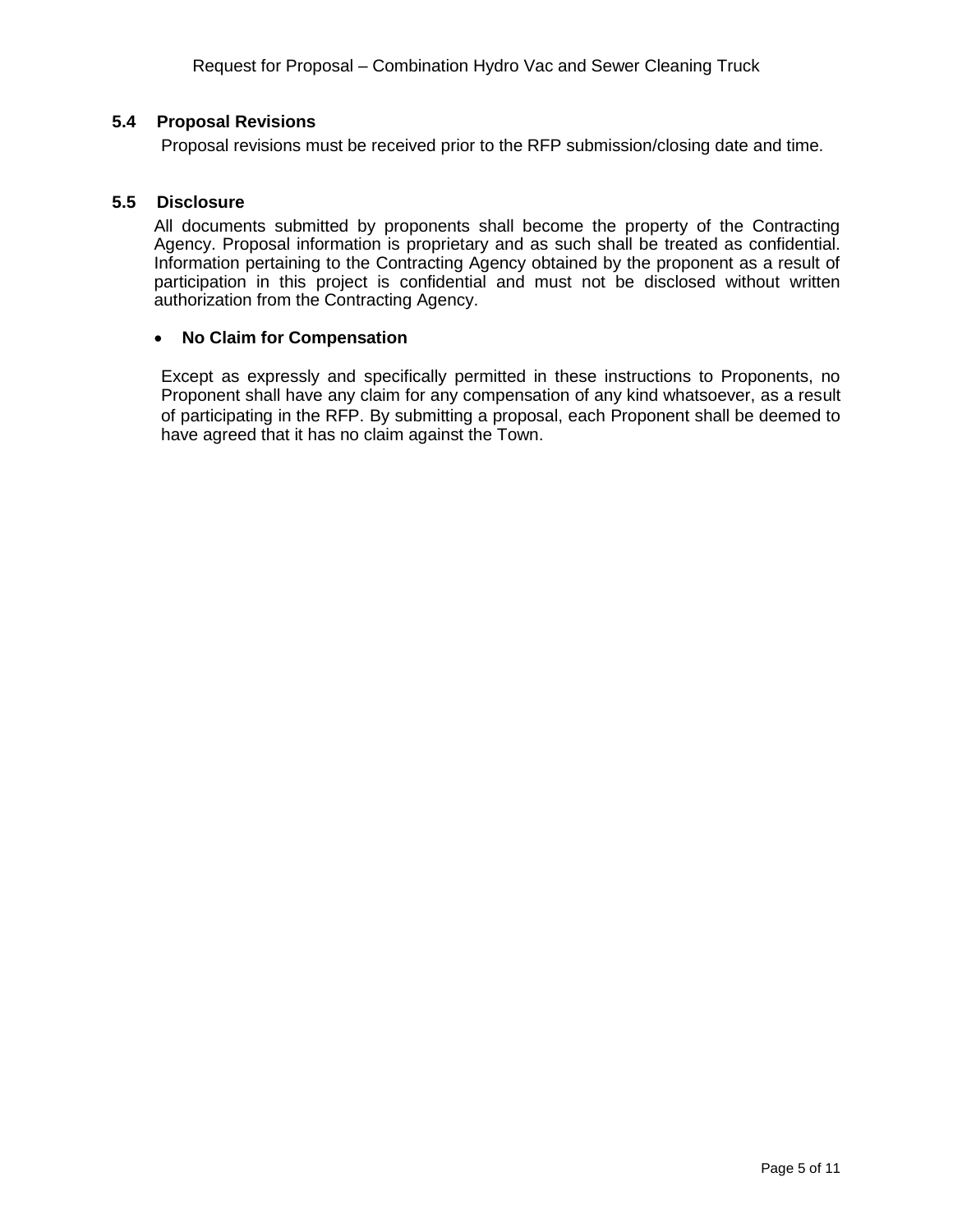#### <span id="page-4-0"></span>**5.4 Proposal Revisions**

Proposal revisions must be received prior to the RFP submission/closing date and time.

#### <span id="page-4-1"></span>**5.5 Disclosure**

All documents submitted by proponents shall become the property of the Contracting Agency. Proposal information is proprietary and as such shall be treated as confidential. Information pertaining to the Contracting Agency obtained by the proponent as a result of participation in this project is confidential and must not be disclosed without written authorization from the Contracting Agency.

#### **No Claim for Compensation**

Except as expressly and specifically permitted in these instructions to Proponents, no Proponent shall have any claim for any compensation of any kind whatsoever, as a result of participating in the RFP. By submitting a proposal, each Proponent shall be deemed to have agreed that it has no claim against the Town.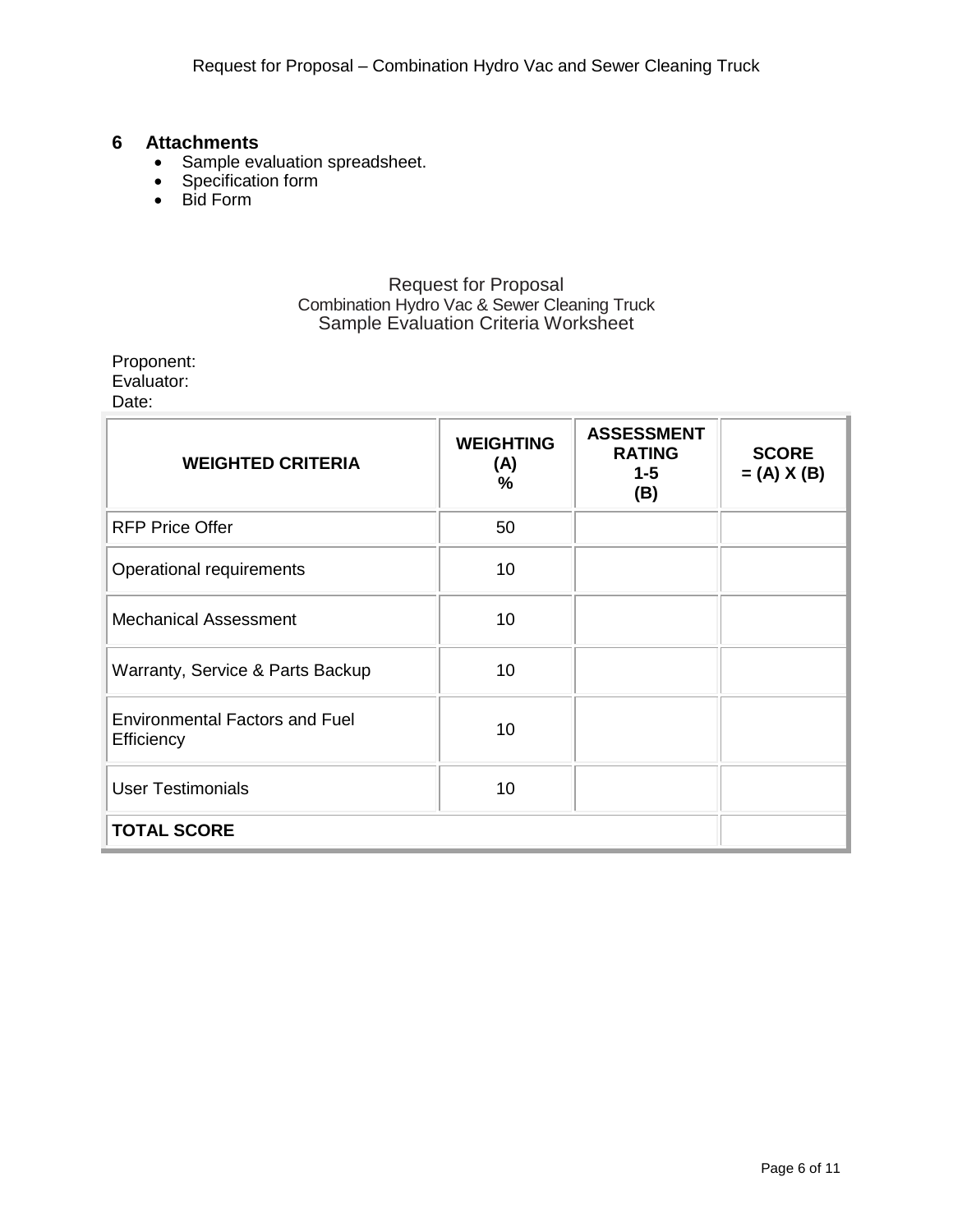### <span id="page-5-0"></span>**6 Attachments**

- Sample evaluation spreadsheet.
- Specification form
- Bid Form

### Request for Proposal Combination Hydro Vac & Sewer Cleaning Truck Sample Evaluation Criteria Worksheet

## Proponent:

Evaluator:

Date:

| <b>WEIGHTED CRITERIA</b>                            | <b>WEIGHTING</b><br>(A)<br>$\%$ | <b>ASSESSMENT</b><br><b>RATING</b><br>$1 - 5$<br>(B) | <b>SCORE</b><br>$= (A) X (B)$ |
|-----------------------------------------------------|---------------------------------|------------------------------------------------------|-------------------------------|
| <b>RFP Price Offer</b>                              | 50                              |                                                      |                               |
| Operational requirements                            | 10                              |                                                      |                               |
| <b>Mechanical Assessment</b>                        | 10                              |                                                      |                               |
| Warranty, Service & Parts Backup                    | 10                              |                                                      |                               |
| <b>Environmental Factors and Fuel</b><br>Efficiency | 10                              |                                                      |                               |
| <b>User Testimonials</b>                            | 10                              |                                                      |                               |
| <b>TOTAL SCORE</b>                                  |                                 |                                                      |                               |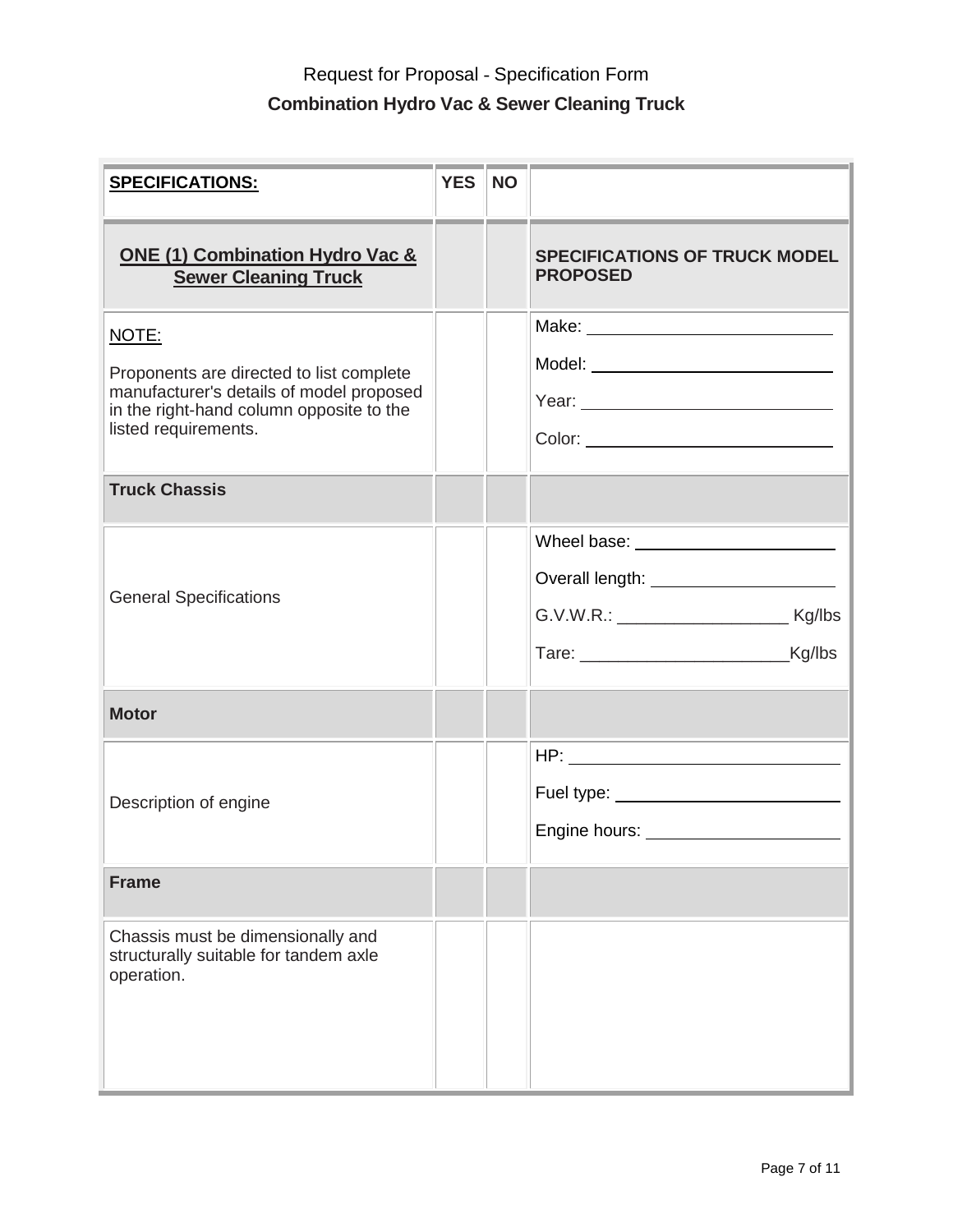| <b>SPECIFICATIONS:</b>                                                                                                                                            | <b>YES</b> | <b>NO</b> |                                                                                                |
|-------------------------------------------------------------------------------------------------------------------------------------------------------------------|------------|-----------|------------------------------------------------------------------------------------------------|
| <b>ONE (1) Combination Hydro Vac &amp;</b><br><b>Sewer Cleaning Truck</b>                                                                                         |            |           | <b>SPECIFICATIONS OF TRUCK MODEL</b><br><b>PROPOSED</b>                                        |
| NOTE:<br>Proponents are directed to list complete<br>manufacturer's details of model proposed<br>in the right-hand column opposite to the<br>listed requirements. |            |           | Model: _________________________________                                                       |
| <b>Truck Chassis</b>                                                                                                                                              |            |           |                                                                                                |
| <b>General Specifications</b>                                                                                                                                     |            |           | Overall length: _______________________<br>G.V.W.R.: __________________________________ Kg/lbs |
| <b>Motor</b>                                                                                                                                                      |            |           |                                                                                                |
| Description of engine                                                                                                                                             |            |           | Fuel type: ______________________________<br>Engine hours: ________________________            |
| <b>Frame</b>                                                                                                                                                      |            |           |                                                                                                |
| Chassis must be dimensionally and<br>structurally suitable for tandem axle<br>operation.                                                                          |            |           |                                                                                                |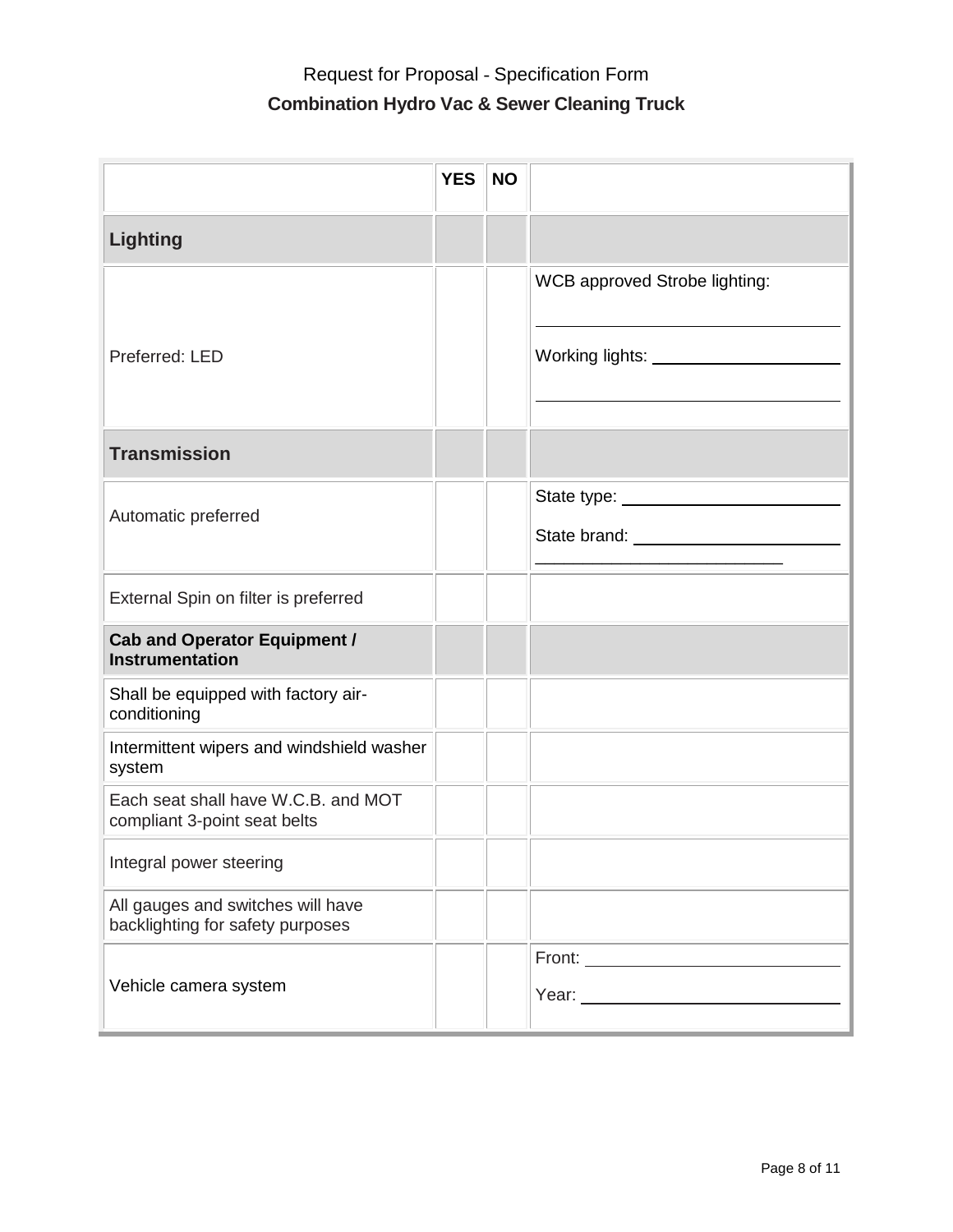|                                                                       | <b>YES</b> | <b>NO</b> |                                             |
|-----------------------------------------------------------------------|------------|-----------|---------------------------------------------|
| <b>Lighting</b>                                                       |            |           |                                             |
| Preferred: LED                                                        |            |           | WCB approved Strobe lighting:               |
| <b>Transmission</b>                                                   |            |           |                                             |
| Automatic preferred                                                   |            |           | State brand: University of the State brand: |
| External Spin on filter is preferred                                  |            |           |                                             |
| <b>Cab and Operator Equipment /</b><br><b>Instrumentation</b>         |            |           |                                             |
| Shall be equipped with factory air-<br>conditioning                   |            |           |                                             |
| Intermittent wipers and windshield washer<br>system                   |            |           |                                             |
| Each seat shall have W.C.B. and MOT<br>compliant 3-point seat belts   |            |           |                                             |
| Integral power steering                                               |            |           |                                             |
| All gauges and switches will have<br>backlighting for safety purposes |            |           |                                             |
| Vehicle camera system                                                 |            |           | Front: __________________________           |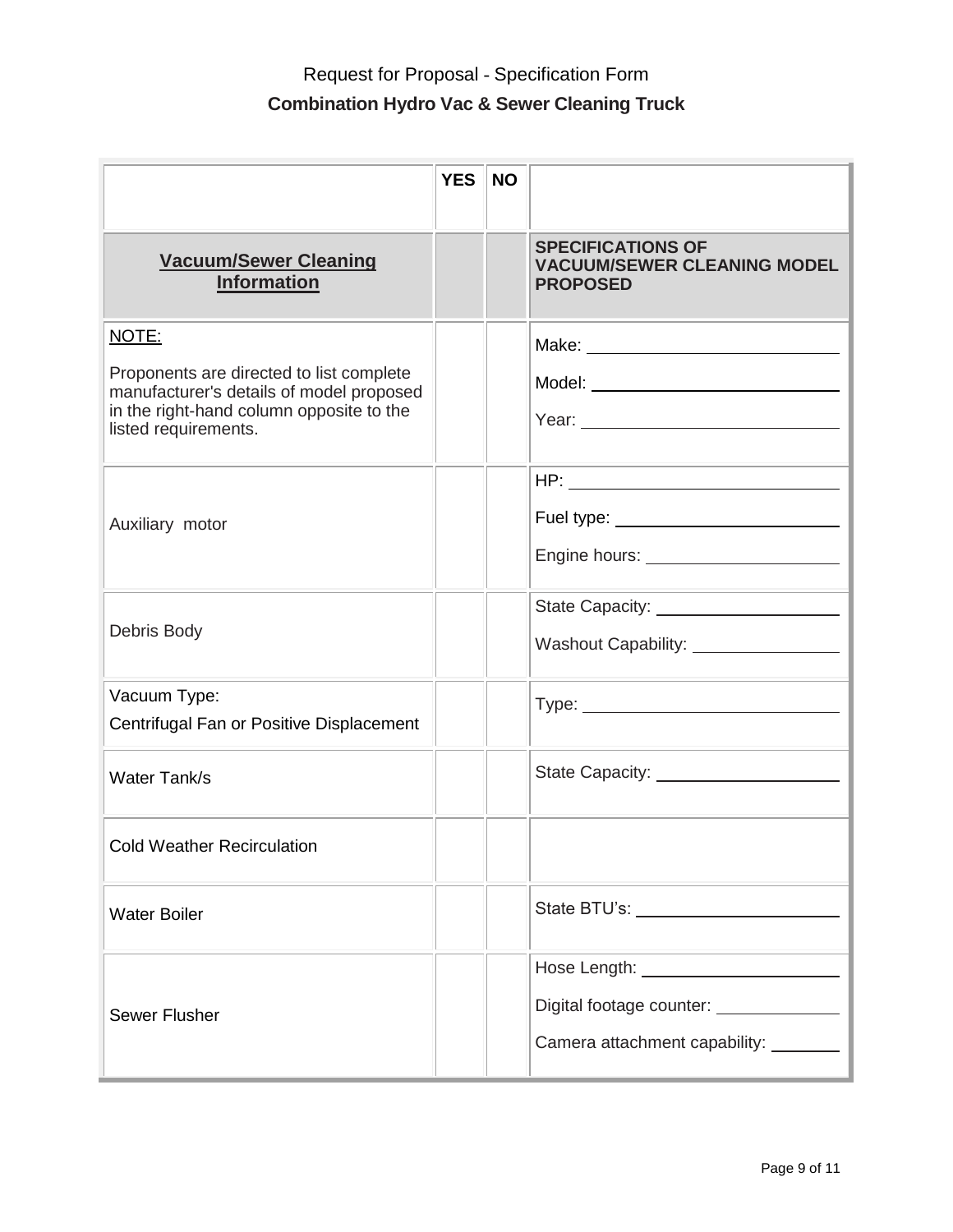|                                                                                                                                                                   | <b>YES</b> | <b>NO</b> |                                                                                   |
|-------------------------------------------------------------------------------------------------------------------------------------------------------------------|------------|-----------|-----------------------------------------------------------------------------------|
| <b>Vacuum/Sewer Cleaning</b><br><b>Information</b>                                                                                                                |            |           | <b>SPECIFICATIONS OF</b><br><b>VACUUM/SEWER CLEANING MODEL</b><br><b>PROPOSED</b> |
| NOTE:<br>Proponents are directed to list complete<br>manufacturer's details of model proposed<br>in the right-hand column opposite to the<br>listed requirements. |            |           | Model: _______________________________                                            |
| Auxiliary motor                                                                                                                                                   |            |           |                                                                                   |
| Debris Body                                                                                                                                                       |            |           | State Capacity: _____________________<br>Washout Capability: ________________     |
| Vacuum Type:<br>Centrifugal Fan or Positive Displacement                                                                                                          |            |           |                                                                                   |
| Water Tank/s                                                                                                                                                      |            |           | State Capacity: _____________________                                             |
| <b>Cold Weather Recirculation</b>                                                                                                                                 |            |           |                                                                                   |
| <b>Water Boiler</b>                                                                                                                                               |            |           | State BTU's: <u>________________________</u>                                      |
| <b>Sewer Flusher</b>                                                                                                                                              |            |           | Digital footage counter: ______________<br>Camera attachment capability: _______  |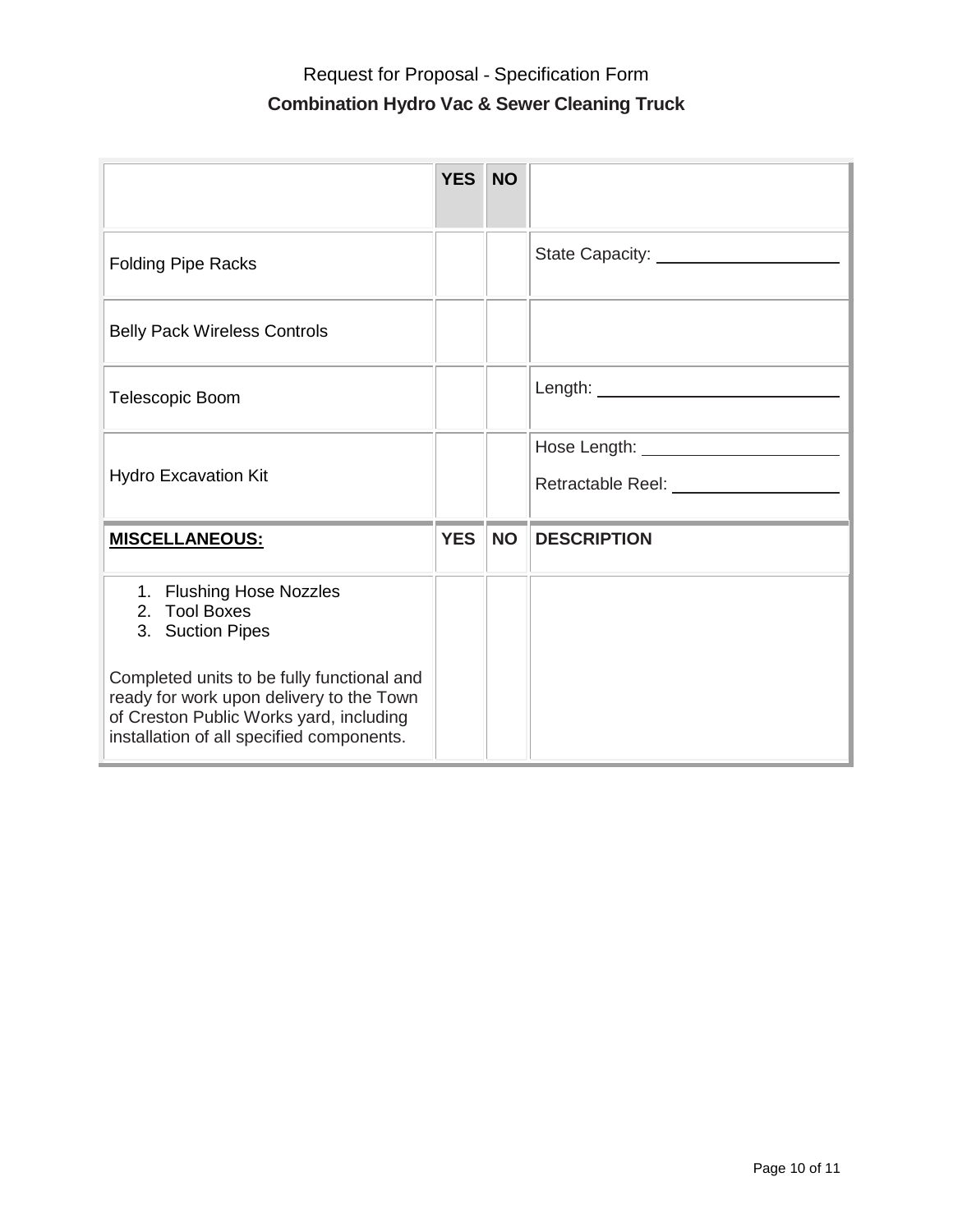|                                                                                                                                                                                | <b>YES</b> | <b>NO</b> |                                                                                                                |
|--------------------------------------------------------------------------------------------------------------------------------------------------------------------------------|------------|-----------|----------------------------------------------------------------------------------------------------------------|
| <b>Folding Pipe Racks</b>                                                                                                                                                      |            |           |                                                                                                                |
| <b>Belly Pack Wireless Controls</b>                                                                                                                                            |            |           |                                                                                                                |
| Telescopic Boom                                                                                                                                                                |            |           |                                                                                                                |
| <b>Hydro Excavation Kit</b>                                                                                                                                                    |            |           | Retractable Reel: Network and Contract and Contract and Contract and Contract and Contract and Contract and Co |
| <b>MISCELLANEOUS:</b>                                                                                                                                                          | <b>YES</b> | <b>NO</b> | <b>DESCRIPTION</b>                                                                                             |
| 1. Flushing Hose Nozzles<br>2. Tool Boxes<br>3. Suction Pipes                                                                                                                  |            |           |                                                                                                                |
| Completed units to be fully functional and<br>ready for work upon delivery to the Town<br>of Creston Public Works yard, including<br>installation of all specified components. |            |           |                                                                                                                |